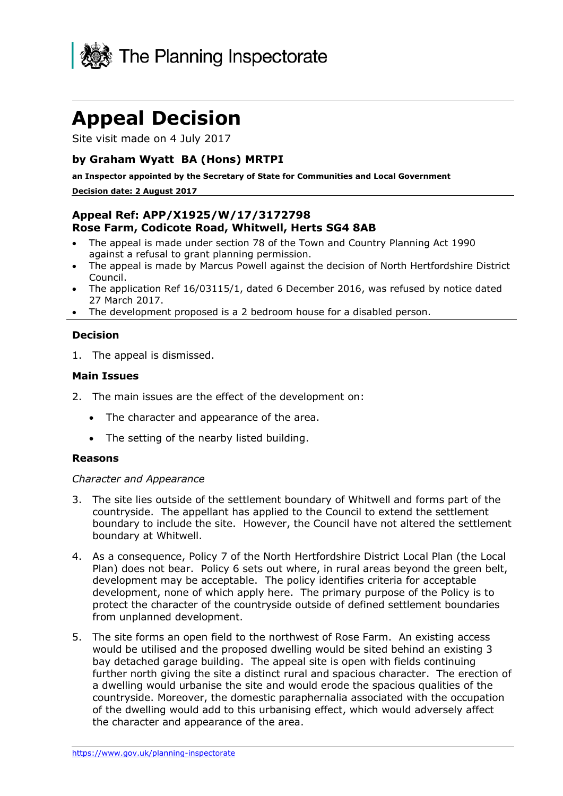

# **Appeal Decision**

Site visit made on 4 July 2017

### **by Graham Wyatt BA (Hons) MRTPI**

**an Inspector appointed by the Secretary of State for Communities and Local Government**

#### **Decision date: 2 August 2017**

# **Appeal Ref: APP/X1925/W/17/3172798 Rose Farm, Codicote Road, Whitwell, Herts SG4 8AB**

- The appeal is made under section 78 of the Town and Country Planning Act 1990 against a refusal to grant planning permission.
- The appeal is made by Marcus Powell against the decision of North Hertfordshire District Council.
- The application Ref 16/03115/1, dated 6 December 2016, was refused by notice dated 27 March 2017.
- The development proposed is a 2 bedroom house for a disabled person.

#### **Decision**

1. The appeal is dismissed.

#### **Main Issues**

- 2. The main issues are the effect of the development on:
	- The character and appearance of the area.
	- The setting of the nearby listed building.

#### **Reasons**

#### *Character and Appearance*

- 3. The site lies outside of the settlement boundary of Whitwell and forms part of the countryside. The appellant has applied to the Council to extend the settlement boundary to include the site. However, the Council have not altered the settlement boundary at Whitwell.
- 4. As a consequence, Policy 7 of the North Hertfordshire District Local Plan (the Local Plan) does not bear. Policy 6 sets out where, in rural areas beyond the green belt, development may be acceptable. The policy identifies criteria for acceptable development, none of which apply here. The primary purpose of the Policy is to protect the character of the countryside outside of defined settlement boundaries from unplanned development.
- 5. The site forms an open field to the northwest of Rose Farm. An existing access would be utilised and the proposed dwelling would be sited behind an existing 3 bay detached garage building. The appeal site is open with fields continuing further north giving the site a distinct rural and spacious character. The erection of a dwelling would urbanise the site and would erode the spacious qualities of the countryside. Moreover, the domestic paraphernalia associated with the occupation of the dwelling would add to this urbanising effect, which would adversely affect the character and appearance of the area.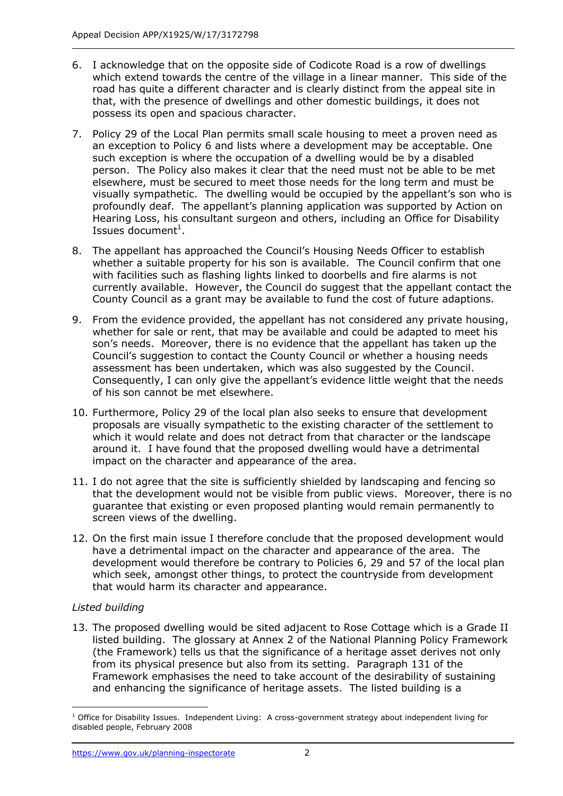- 6. I acknowledge that on the opposite side of Codicote Road is a row of dwellings which extend towards the centre of the village in a linear manner. This side of the road has quite a different character and is clearly distinct from the appeal site in that, with the presence of dwellings and other domestic buildings, it does not possess its open and spacious character.
- 7. Policy 29 of the Local Plan permits small scale housing to meet a proven need as an exception to Policy 6 and lists where a development may be acceptable. One such exception is where the occupation of a dwelling would be by a disabled person. The Policy also makes it clear that the need must not be able to be met elsewhere, must be secured to meet those needs for the long term and must be visually sympathetic. The dwelling would be occupied by the appellant's son who is profoundly deaf. The appellant's planning application was supported by Action on Hearing Loss, his consultant surgeon and others, including an Office for Disability Issues document $<sup>1</sup>$ .</sup>
- 8. The appellant has approached the Council's Housing Needs Officer to establish whether a suitable property for his son is available. The Council confirm that one with facilities such as flashing lights linked to doorbells and fire alarms is not currently available. However, the Council do suggest that the appellant contact the County Council as a grant may be available to fund the cost of future adaptions.
- 9. From the evidence provided, the appellant has not considered any private housing, whether for sale or rent, that may be available and could be adapted to meet his son's needs. Moreover, there is no evidence that the appellant has taken up the Council's suggestion to contact the County Council or whether a housing needs assessment has been undertaken, which was also suggested by the Council. Consequently, I can only give the appellant's evidence little weight that the needs of his son cannot be met elsewhere.
- 10. Furthermore, Policy 29 of the local plan also seeks to ensure that development proposals are visually sympathetic to the existing character of the settlement to which it would relate and does not detract from that character or the landscape around it. I have found that the proposed dwelling would have a detrimental impact on the character and appearance of the area.
- 11. I do not agree that the site is sufficiently shielded by landscaping and fencing so that the development would not be visible from public views. Moreover, there is no guarantee that existing or even proposed planting would remain permanently to screen views of the dwelling.
- 12. On the first main issue I therefore conclude that the proposed development would have a detrimental impact on the character and appearance of the area. The development would therefore be contrary to Policies 6, 29 and 57 of the local plan which seek, amongst other things, to protect the countryside from development that would harm its character and appearance.

# *Listed building*

13. The proposed dwelling would be sited adjacent to Rose Cottage which is a Grade II listed building. The glossary at Annex 2 of the National Planning Policy Framework (the Framework) tells us that the significance of a heritage asset derives not only from its physical presence but also from its setting. Paragraph 131 of the Framework emphasises the need to take account of the desirability of sustaining and enhancing the significance of heritage assets. The listed building is a

j  $1$  Office for Disability Issues. Independent Living: A cross-government strategy about independent living for disabled people, February 2008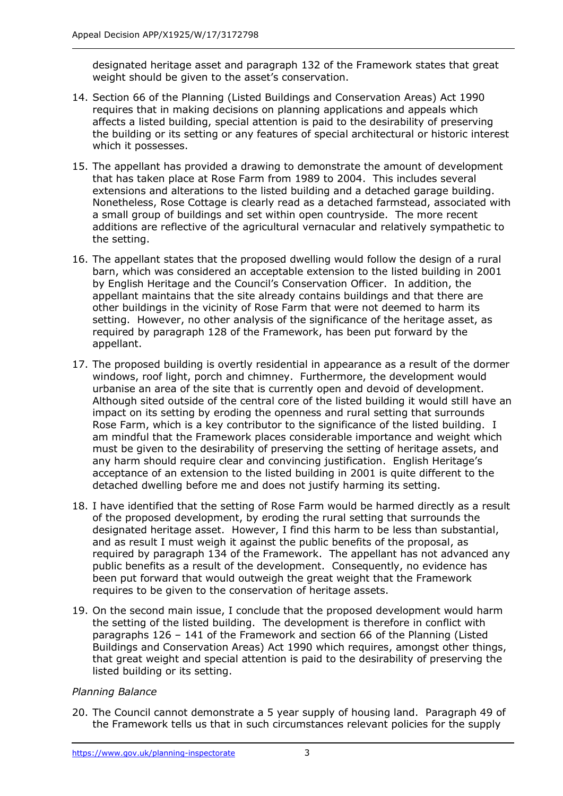designated heritage asset and paragraph 132 of the Framework states that great weight should be given to the asset's conservation.

- 14. Section 66 of the Planning (Listed Buildings and Conservation Areas) Act 1990 requires that in making decisions on planning applications and appeals which affects a listed building, special attention is paid to the desirability of preserving the building or its setting or any features of special architectural or historic interest which it possesses.
- 15. The appellant has provided a drawing to demonstrate the amount of development that has taken place at Rose Farm from 1989 to 2004. This includes several extensions and alterations to the listed building and a detached garage building. Nonetheless, Rose Cottage is clearly read as a detached farmstead, associated with a small group of buildings and set within open countryside. The more recent additions are reflective of the agricultural vernacular and relatively sympathetic to the setting.
- 16. The appellant states that the proposed dwelling would follow the design of a rural barn, which was considered an acceptable extension to the listed building in 2001 by English Heritage and the Council's Conservation Officer. In addition, the appellant maintains that the site already contains buildings and that there are other buildings in the vicinity of Rose Farm that were not deemed to harm its setting. However, no other analysis of the significance of the heritage asset, as required by paragraph 128 of the Framework, has been put forward by the appellant.
- 17. The proposed building is overtly residential in appearance as a result of the dormer windows, roof light, porch and chimney. Furthermore, the development would urbanise an area of the site that is currently open and devoid of development. Although sited outside of the central core of the listed building it would still have an impact on its setting by eroding the openness and rural setting that surrounds Rose Farm, which is a key contributor to the significance of the listed building. I am mindful that the Framework places considerable importance and weight which must be given to the desirability of preserving the setting of heritage assets, and any harm should require clear and convincing justification. English Heritage's acceptance of an extension to the listed building in 2001 is quite different to the detached dwelling before me and does not justify harming its setting.
- 18. I have identified that the setting of Rose Farm would be harmed directly as a result of the proposed development, by eroding the rural setting that surrounds the designated heritage asset. However, I find this harm to be less than substantial, and as result I must weigh it against the public benefits of the proposal, as required by paragraph 134 of the Framework. The appellant has not advanced any public benefits as a result of the development. Consequently, no evidence has been put forward that would outweigh the great weight that the Framework requires to be given to the conservation of heritage assets.
- 19. On the second main issue, I conclude that the proposed development would harm the setting of the listed building. The development is therefore in conflict with paragraphs 126 – 141 of the Framework and section 66 of the Planning (Listed Buildings and Conservation Areas) Act 1990 which requires, amongst other things, that great weight and special attention is paid to the desirability of preserving the listed building or its setting.

#### *Planning Balance*

20. The Council cannot demonstrate a 5 year supply of housing land. Paragraph 49 of the Framework tells us that in such circumstances relevant policies for the supply